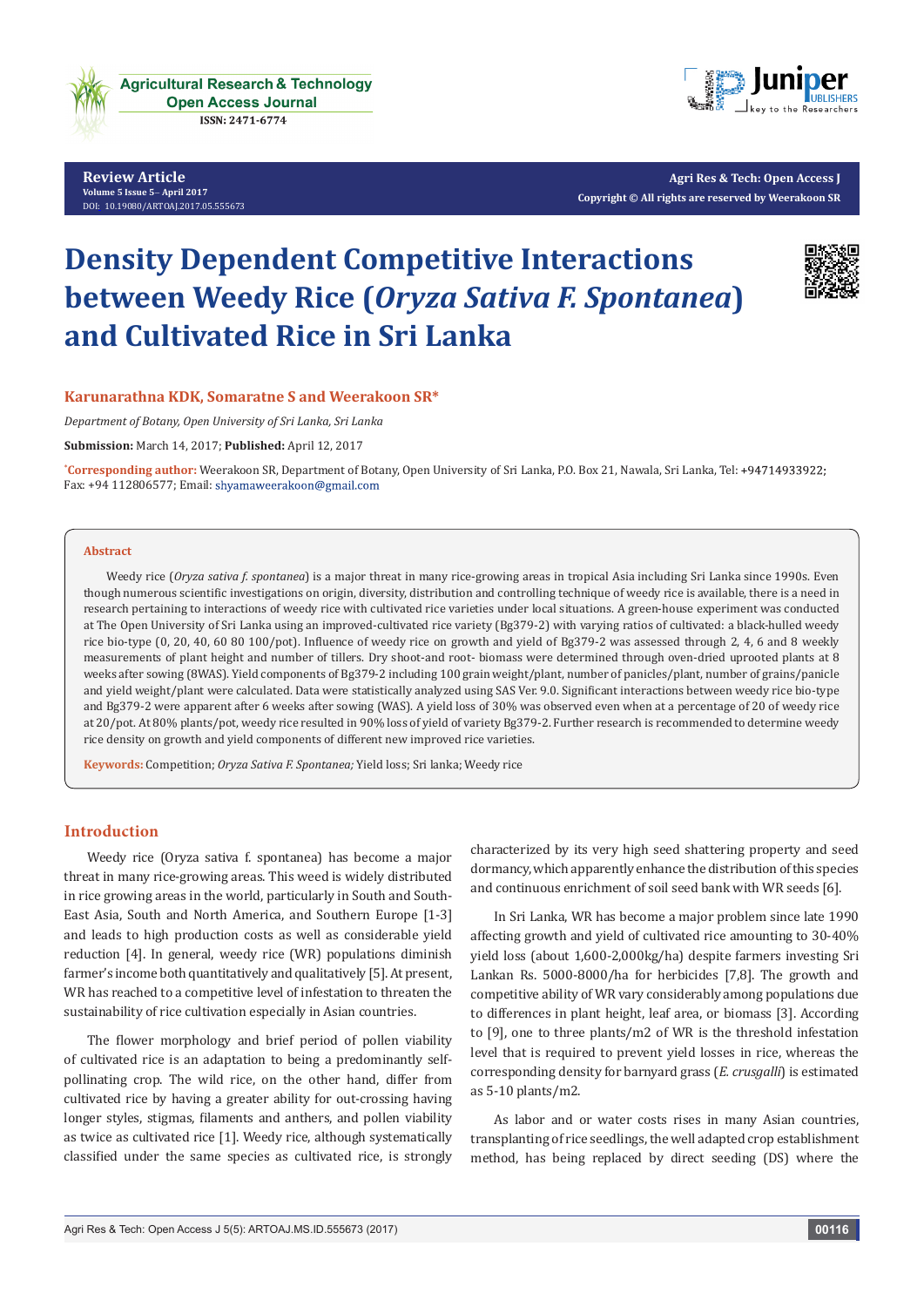

**Review Article [Volu](http://dx.doi.org/10.19080/artoaj.2016.02.555590
)[me 5 Issue 5](http://dx.doi.org/10.19080/artoaj.2017.05.555673)**- **April 2017** DOI: 10.19080/ARTOAJ.2017.05.555673



**Agri Res & Tech: Open Access J Copyright © All rights are reserved by Weerakoon SR**

# **Density Dependent Competitive Interactions between Weedy Rice (***Oryza Sativa F. Spontanea***) and Cultivated Rice in Sri Lanka**



## **Karunarathna KDK, Somaratne S and Weerakoon SR\***

*Department of Botany, Open University of Sri Lanka, Sri Lanka*

**Submission:** March 14, 2017; **Published:** April 12, 2017

**\* Corresponding author:** Weerakoon SR, Department of Botany, Open University of Sri Lanka, P.O. Box 21, Nawala, Sri Lanka, Tel: Fax: +94 112806577; Email: shyamaweerakoon@gmail.com

#### **Abstract**

Weedy rice (*Oryza sativa f. spontanea*) is a major threat in many rice-growing areas in tropical Asia including Sri Lanka since 1990s. Even though numerous scientific investigations on origin, diversity, distribution and controlling technique of weedy rice is available, there is a need in research pertaining to interactions of weedy rice with cultivated rice varieties under local situations. A green-house experiment was conducted at The Open University of Sri Lanka using an improved-cultivated rice variety (Bg379-2) with varying ratios of cultivated: a black-hulled weedy rice bio-type (0, 20, 40, 60 80 100/pot). Influence of weedy rice on growth and yield of Bg379-2 was assessed through 2, 4, 6 and 8 weekly measurements of plant height and number of tillers. Dry shoot-and root- biomass were determined through oven-dried uprooted plants at 8 weeks after sowing (8WAS). Yield components of Bg379-2 including 100 grain weight/plant, number of panicles/plant, number of grains/panicle and yield weight/plant were calculated. Data were statistically analyzed using SAS Ver. 9.0. Significant interactions between weedy rice bio-type and Bg379-2 were apparent after 6 weeks after sowing (WAS). A yield loss of 30% was observed even when at a percentage of 20 of weedy rice at 20/pot. At 80% plants/pot, weedy rice resulted in 90% loss of yield of variety Bg379-2. Further research is recommended to determine weedy rice density on growth and yield components of different new improved rice varieties.

**Keywords:** Competition; *Oryza Sativa F. Spontanea;* Yield loss; Sri lanka; Weedy rice

#### **Introduction**

Weedy rice (Oryza sativa f. spontanea) has become a major threat in many rice-growing areas. This weed is widely distributed in rice growing areas in the world, particularly in South and South-East Asia, South and North America, and Southern Europe [1-3] and leads to high production costs as well as considerable yield reduction [4]. In general, weedy rice (WR) populations diminish farmer's income both quantitatively and qualitatively [5]. At present, WR has reached to a competitive level of infestation to threaten the sustainability of rice cultivation especially in Asian countries.

The flower morphology and brief period of pollen viability of cultivated rice is an adaptation to being a predominantly selfpollinating crop. The wild rice, on the other hand, differ from cultivated rice by having a greater ability for out-crossing having longer styles, stigmas, filaments and anthers, and pollen viability as twice as cultivated rice [1]. Weedy rice, although systematically classified under the same species as cultivated rice, is strongly

characterized by its very high seed shattering property and seed dormancy, which apparently enhance the distribution of this species and continuous enrichment of soil seed bank with WR seeds [6].

In Sri Lanka, WR has become a major problem since late 1990 affecting growth and yield of cultivated rice amounting to 30-40% yield loss (about 1,600-2,000kg/ha) despite farmers investing Sri Lankan Rs. 5000-8000/ha for herbicides [7,8]. The growth and competitive ability of WR vary considerably among populations due to differences in plant height, leaf area, or biomass [3]. According to [9], one to three plants/m2 of WR is the threshold infestation level that is required to prevent yield losses in rice, whereas the corresponding density for barnyard grass (*E. crusgalli*) is estimated as 5-10 plants/m2.

As labor and or water costs rises in many Asian countries, transplanting of rice seedlings, the well adapted crop establishment method, has being replaced by direct seeding (DS) where the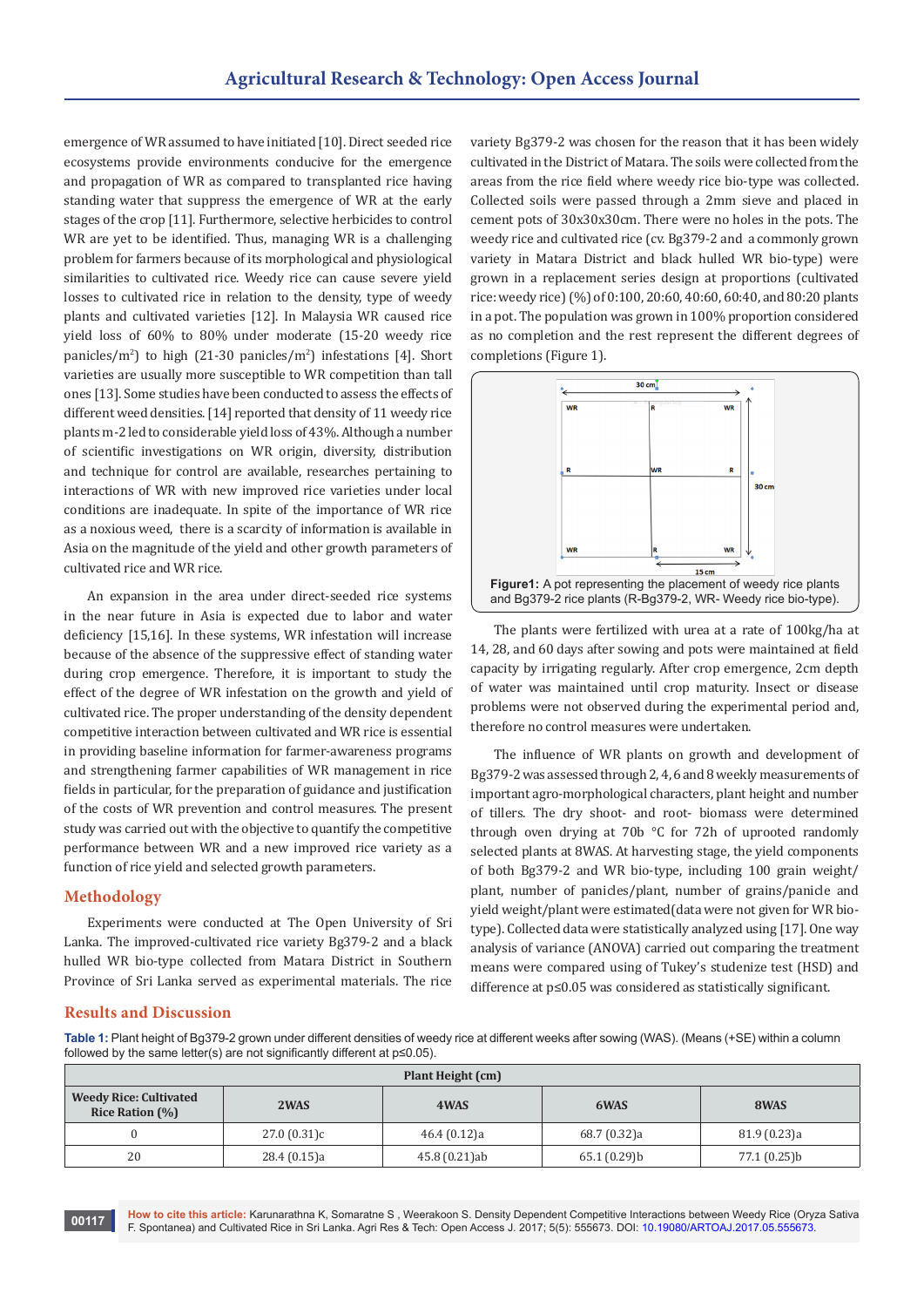emergence of WR assumed to have initiated [10]. Direct seeded rice ecosystems provide environments conducive for the emergence and propagation of WR as compared to transplanted rice having standing water that suppress the emergence of WR at the early stages of the crop [11]. Furthermore, selective herbicides to control WR are yet to be identified. Thus, managing WR is a challenging problem for farmers because of its morphological and physiological similarities to cultivated rice. Weedy rice can cause severe yield losses to cultivated rice in relation to the density, type of weedy plants and cultivated varieties [12]. In Malaysia WR caused rice yield loss of 60% to 80% under moderate (15-20 weedy rice panicles/m2 ) to high (21-30 panicles/m2 ) infestations [4]. Short varieties are usually more susceptible to WR competition than tall ones [13]. Some studies have been conducted to assess the effects of different weed densities. [14] reported that density of 11 weedy rice plants m-2 led to considerable yield loss of 43%. Although a number of scientific investigations on WR origin, diversity, distribution and technique for control are available, researches pertaining to interactions of WR with new improved rice varieties under local conditions are inadequate. In spite of the importance of WR rice as a noxious weed, there is a scarcity of information is available in Asia on the magnitude of the yield and other growth parameters of cultivated rice and WR rice.

An expansion in the area under direct-seeded rice systems in the near future in Asia is expected due to labor and water deficiency [15,16]. In these systems, WR infestation will increase because of the absence of the suppressive effect of standing water during crop emergence. Therefore, it is important to study the effect of the degree of WR infestation on the growth and yield of cultivated rice. The proper understanding of the density dependent competitive interaction between cultivated and WR rice is essential in providing baseline information for farmer-awareness programs and strengthening farmer capabilities of WR management in rice fields in particular, for the preparation of guidance and justification of the costs of WR prevention and control measures. The present study was carried out with the objective to quantify the competitive performance between WR and a new improved rice variety as a function of rice yield and selected growth parameters.

### **Methodology**

Experiments were conducted at The Open University of Sri Lanka. The improved-cultivated rice variety Bg379-2 and a black hulled WR bio-type collected from Matara District in Southern Province of Sri Lanka served as experimental materials. The rice

variety Bg379-2 was chosen for the reason that it has been widely cultivated in the District of Matara. The soils were collected from the areas from the rice field where weedy rice bio-type was collected. Collected soils were passed through a 2mm sieve and placed in cement pots of 30x30x30cm. There were no holes in the pots. The weedy rice and cultivated rice (cv. Bg379-2 and a commonly grown variety in Matara District and black hulled WR bio-type) were grown in a replacement series design at proportions (cultivated rice: weedy rice) (%) of 0:100, 20:60, 40:60, 60:40, and 80:20 plants in a pot. The population was grown in 100% proportion considered as no completion and the rest represent the different degrees of completions (Figure 1).



The plants were fertilized with urea at a rate of 100kg/ha at 14, 28, and 60 days after sowing and pots were maintained at field capacity by irrigating regularly. After crop emergence, 2cm depth of water was maintained until crop maturity. Insect or disease problems were not observed during the experimental period and, therefore no control measures were undertaken.

The influence of WR plants on growth and development of Bg379-2 was assessed through 2, 4, 6 and 8 weekly measurements of important agro-morphological characters, plant height and number of tillers. The dry shoot- and root- biomass were determined through oven drying at 70b °C for 72h of uprooted randomly selected plants at 8WAS. At harvesting stage, the yield components of both Bg379-2 and WR bio-type, including 100 grain weight/ plant, number of panicles/plant, number of grains/panicle and yield weight/plant were estimated(data were not given for WR biotype). Collected data were statistically analyzed using [17]. One way analysis of variance (ANOVA) carried out comparing the treatment means were compared using of Tukey's studenize test (HSD) and difference at p≤0.05 was considered as statistically significant.

#### **Results and Discussion**

**Table 1:** Plant height of Bg379-2 grown under different densities of weedy rice at different weeks after sowing (WAS). (Means (+SE) within a column followed by the same letter(s) are not significantly different at p≤0.05).

| Plant Height (cm)                                       |              |               |              |              |  |  |
|---------------------------------------------------------|--------------|---------------|--------------|--------------|--|--|
| <b>Weedy Rice: Cultivated</b><br><b>Rice Ration (%)</b> | 2WAS         | 4WAS          | 6WAS         | 8WAS         |  |  |
|                                                         | 27.0(0.31)c  | 46.4 (0.12)a  | 68.7 (0.32)a | 81.9 (0.23)a |  |  |
| 20                                                      | 28.4 (0.15)a | 45.8 (0.21)ab | 65.1(0.29)b  | 77.1 (0.25)b |  |  |

**How to cite this article:** Karunarathna K, Somaratne S , Weerakoon S. Density Dependent Competitive Interactions between Weedy Rice (Oryza Sativa F. Spontanea) and Cultivated Rice in Sri Lanka. Agri Res & Tech: Open Access J. 2017; 5(5): 555673. DOI: [10.19080/ARTOAJ.2017.05.555673](http://dx.doi.org/10.19080/artoaj.2017.05.555673). **<sup>00117</sup>**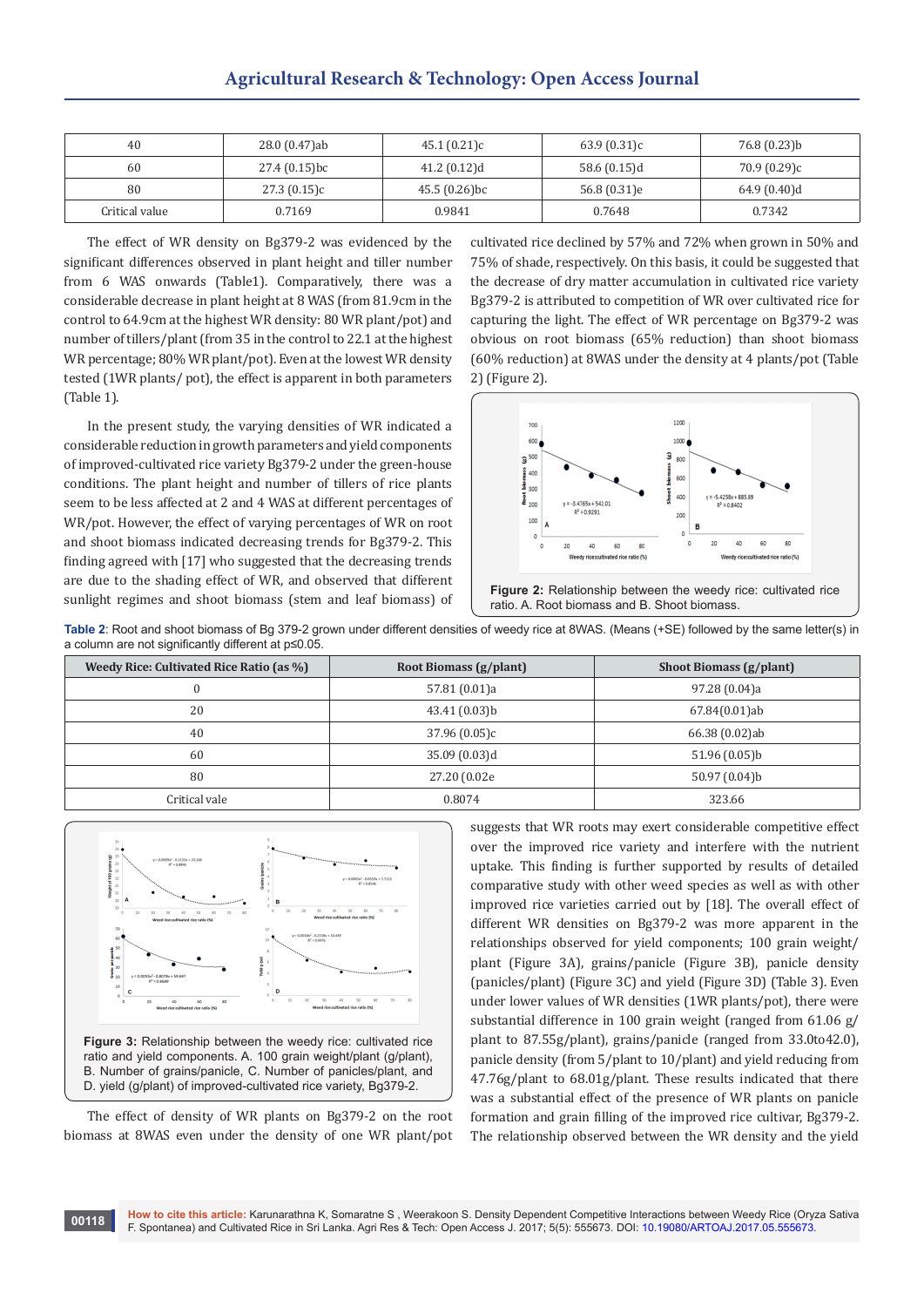| 40             | 28.0 (0.47)ab  | 45.1(0.21)c     | 63.9(0.31)c    | 76.8 (0.23)b |
|----------------|----------------|-----------------|----------------|--------------|
| 60             | 27.4 (0.15) bc | 41.2 (0.12)d    | 58.6 $(0.15)d$ | 70.9 (0.29)c |
| 80             | 27.3(0.15)c    | $45.5(0.26)$ bc | 56.8 (0.31)e   | 64.9 (0.40)d |
| Critical value | 0.7169         | 0.9841          | 0.7648         | 0.7342       |

The effect of WR density on Bg379-2 was evidenced by the significant differences observed in plant height and tiller number from 6 WAS onwards (Table1). Comparatively, there was a considerable decrease in plant height at 8 WAS (from 81.9cm in the control to 64.9cm at the highest WR density: 80 WR plant/pot) and number of tillers/plant (from 35 in the control to 22.1 at the highest WR percentage; 80% WR plant/pot). Even at the lowest WR density tested (1WR plants/ pot), the effect is apparent in both parameters (Table 1).

In the present study, the varying densities of WR indicated a considerable reduction in growth parameters and yield components of improved-cultivated rice variety Bg379-2 under the green-house conditions. The plant height and number of tillers of rice plants seem to be less affected at 2 and 4 WAS at different percentages of WR/pot. However, the effect of varying percentages of WR on root and shoot biomass indicated decreasing trends for Bg379-2. This finding agreed with [17] who suggested that the decreasing trends are due to the shading effect of WR, and observed that different sunlight regimes and shoot biomass (stem and leaf biomass) of cultivated rice declined by 57% and 72% when grown in 50% and 75% of shade, respectively. On this basis, it could be suggested that the decrease of dry matter accumulation in cultivated rice variety Bg379-2 is attributed to competition of WR over cultivated rice for capturing the light. The effect of WR percentage on Bg379-2 was obvious on root biomass (65% reduction) than shoot biomass (60% reduction) at 8WAS under the density at 4 plants/pot (Table 2) (Figure 2).



**Table 2**: Root and shoot biomass of Bg 379-2 grown under different densities of weedy rice at 8WAS. (Means (+SE) followed by the same letter(s) in a column are not significantly different at p≤0.05.

| Weedy Rice: Cultivated Rice Ratio (as %) | Root Biomass (g/plant) | <b>Shoot Biomass (g/plant)</b> |
|------------------------------------------|------------------------|--------------------------------|
| 0                                        | 57.81 (0.01)a          | 97.28 (0.04)a                  |
| 20                                       | 43.41 (0.03)b          | 67.84(0.01)ab                  |
| 40                                       | 37.96(0.05)c           | 66.38 (0.02)ab                 |
| 60                                       | 35.09 (0.03)d          | 51.96 (0.05)b                  |
| 80                                       | 27.20 (0.02e           | 50.97 (0.04)b                  |
| Critical vale                            | 0.8074                 | 323.66                         |



ratio and yield components. A. 100 grain weight/plant (g/plant), B. Number of grains/panicle, C. Number of panicles/plant, and D. yield (g/plant) of improved-cultivated rice variety, Bg379-2.

The effect of density of WR plants on Bg379-2 on the root biomass at 8WAS even under the density of one WR plant/pot suggests that WR roots may exert considerable competitive effect over the improved rice variety and interfere with the nutrient uptake. This finding is further supported by results of detailed comparative study with other weed species as well as with other improved rice varieties carried out by [18]. The overall effect of different WR densities on Bg379-2 was more apparent in the relationships observed for yield components; 100 grain weight/ plant (Figure 3A), grains/panicle (Figure 3B), panicle density (panicles/plant) (Figure 3C) and yield (Figure 3D) (Table 3). Even under lower values of WR densities (1WR plants/pot), there were substantial difference in 100 grain weight (ranged from 61.06 g/ plant to 87.55g/plant), grains/panicle (ranged from 33.0to42.0), panicle density (from 5/plant to 10/plant) and yield reducing from 47.76g/plant to 68.01g/plant. These results indicated that there was a substantial effect of the presence of WR plants on panicle formation and grain filling of the improved rice cultivar, Bg379-2. The relationship observed between the WR density and the yield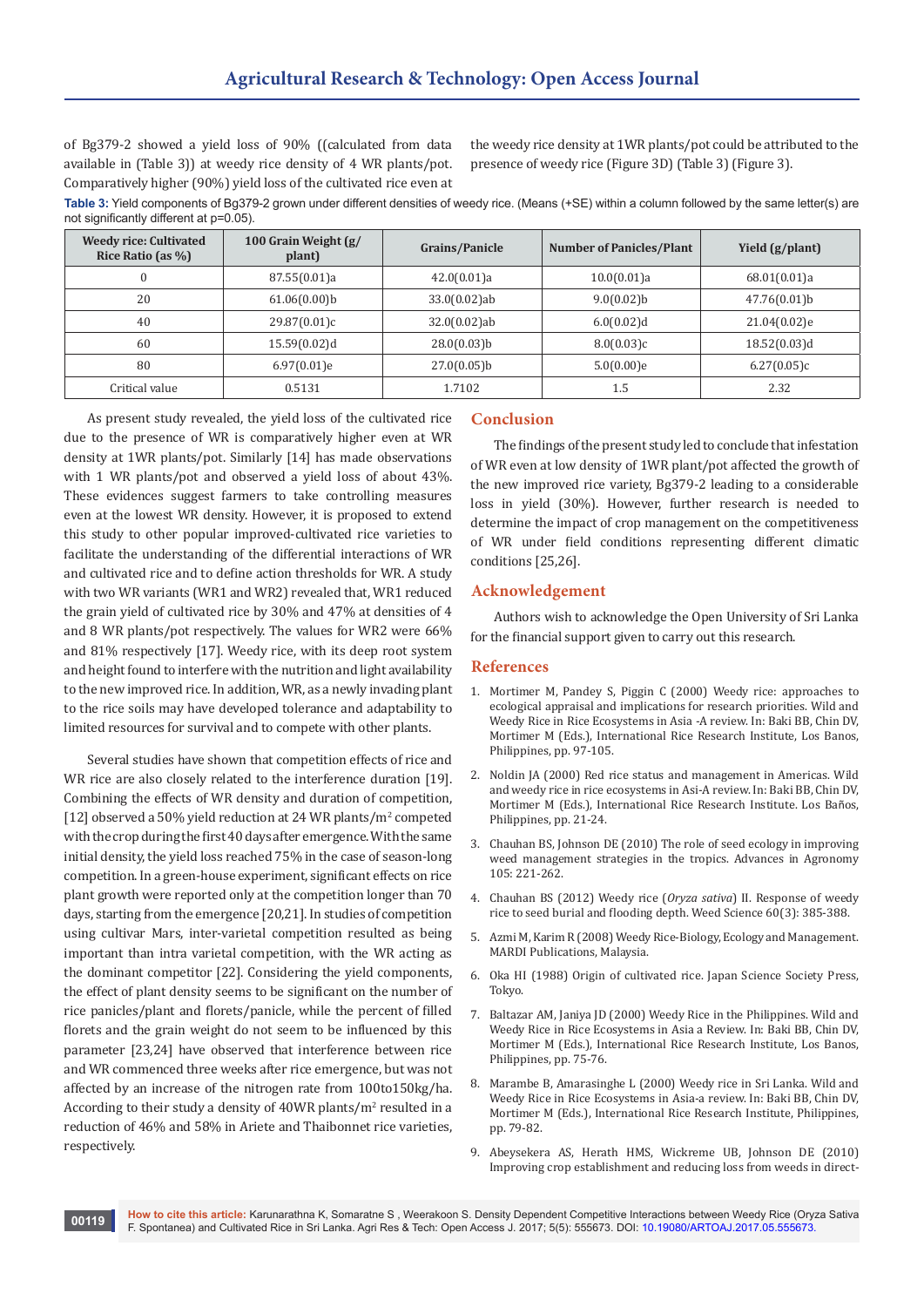of Bg379-2 showed a yield loss of 90% ((calculated from data available in (Table 3)) at weedy rice density of 4 WR plants/pot. Comparatively higher (90%) yield loss of the cultivated rice even at

the weedy rice density at 1WR plants/pot could be attributed to the presence of weedy rice (Figure 3D) (Table 3) (Figure 3).

**Table 3:** Yield components of Bg379-2 grown under different densities of weedy rice. (Means (+SE) within a column followed by the same letter(s) are not significantly different at p=0.05).

| <b>Weedy rice: Cultivated</b><br>Rice Ratio (as %) | 100 Grain Weight (g/<br>plant) | Grains/Panicle  | <b>Number of Panicles/Plant</b> | Yield (g/plant) |
|----------------------------------------------------|--------------------------------|-----------------|---------------------------------|-----------------|
|                                                    | 87.55(0.01)a                   | 42.0(0.01)a     | 10.0(0.01)a                     | 68.01(0.01)a    |
| 20                                                 | 61.06(0.00)b                   | $33.0(0.02)$ ab | 9.0(0.02)b                      | $47.76(0.01)$ b |
| 40                                                 | 29.87(0.01)c                   | $32.0(0.02)$ ab | 6.0(0.02)d                      | 21.04(0.02)e    |
| 60                                                 | 15.59(0.02)d                   | $28.0(0.03)$ b  | 8.0(0.03)c                      | 18.52(0.03)d    |
| 80                                                 | $6.97(0.01)$ e                 | $27.0(0.05)$ b  | 5.0(0.00)e                      | 6.27(0.05)c     |
| Critical value                                     | 0.5131                         | 1.7102          | 1.5                             | 2.32            |

As present study revealed, the yield loss of the cultivated rice due to the presence of WR is comparatively higher even at WR density at 1WR plants/pot. Similarly [14] has made observations with 1 WR plants/pot and observed a yield loss of about 43%. These evidences suggest farmers to take controlling measures even at the lowest WR density. However, it is proposed to extend this study to other popular improved-cultivated rice varieties to facilitate the understanding of the differential interactions of WR and cultivated rice and to define action thresholds for WR. A study with two WR variants (WR1 and WR2) revealed that, WR1 reduced the grain yield of cultivated rice by 30% and 47% at densities of 4 and 8 WR plants/pot respectively. The values for WR2 were 66% and 81% respectively [17]. Weedy rice, with its deep root system and height found to interfere with the nutrition and light availability to the new improved rice. In addition, WR, as a newly invading plant to the rice soils may have developed tolerance and adaptability to limited resources for survival and to compete with other plants.

Several studies have shown that competition effects of rice and WR rice are also closely related to the interference duration [19]. Combining the effects of WR density and duration of competition, [12] observed a 50% yield reduction at 24 WR plants/ $m^2$  competed with the crop during the first 40 days after emergence. With the same initial density, the yield loss reached 75% in the case of season-long competition. In a green-house experiment, significant effects on rice plant growth were reported only at the competition longer than 70 days, starting from the emergence [20,21]. In studies of competition using cultivar Mars, inter-varietal competition resulted as being important than intra varietal competition, with the WR acting as the dominant competitor [22]. Considering the yield components, the effect of plant density seems to be significant on the number of rice panicles/plant and florets/panicle, while the percent of filled florets and the grain weight do not seem to be influenced by this parameter [23,24] have observed that interference between rice and WR commenced three weeks after rice emergence, but was not affected by an increase of the nitrogen rate from 100to150kg/ha. According to their study a density of 40WR plants/m<sup>2</sup> resulted in a reduction of 46% and 58% in Ariete and Thaibonnet rice varieties, respectively.

# **Conclusion**

The findings of the present study led to conclude that infestation of WR even at low density of 1WR plant/pot affected the growth of the new improved rice variety, Bg379-2 leading to a considerable loss in yield (30%). However, further research is needed to determine the impact of crop management on the competitiveness of WR under field conditions representing different climatic conditions [25,26].

#### **Acknowledgement**

Authors wish to acknowledge the Open University of Sri Lanka for the financial support given to carry out this research.

#### **References**

- 1. [Mortimer M, Pandey S, Piggin C \(2000\) Weedy rice: approaches to](http://www.scirp.org/(S(351jmbntvnsjt1aadkposzje))/reference/ReferencesPapers.aspx?ReferenceID=1030400)  [ecological appraisal and implications for research priorities. Wild and](http://www.scirp.org/(S(351jmbntvnsjt1aadkposzje))/reference/ReferencesPapers.aspx?ReferenceID=1030400)  [Weedy Rice in Rice Ecosystems in Asia -A review. In: Baki BB, Chin DV,](http://www.scirp.org/(S(351jmbntvnsjt1aadkposzje))/reference/ReferencesPapers.aspx?ReferenceID=1030400)  [Mortimer M \(Eds.\), International Rice Research Institute, Los Banos,](http://www.scirp.org/(S(351jmbntvnsjt1aadkposzje))/reference/ReferencesPapers.aspx?ReferenceID=1030400)  [Philippines, pp. 97-105.](http://www.scirp.org/(S(351jmbntvnsjt1aadkposzje))/reference/ReferencesPapers.aspx?ReferenceID=1030400)
- 2. [Noldin JA \(2000\) Red rice status and management in Americas. Wild](http://books.irri.org/LP2_content.pdf)  [and weedy rice in rice ecosystems in Asi-A review. In: Baki BB, Chin DV,](http://books.irri.org/LP2_content.pdf)  [Mortimer M \(Eds.\), International Rice Research Institute. Los Ba](http://books.irri.org/LP2_content.pdf)ños, [Philippines, pp. 21-24.](http://books.irri.org/LP2_content.pdf)
- 3. [Chauhan BS, Johnson DE \(2010\) The role of seed ecology in improving](https://www.cabdirect.org/cabdirect/abstract/20103055909)  [weed management strategies in the tropics. Advances in Agronomy](https://www.cabdirect.org/cabdirect/abstract/20103055909)  [105: 221-262.](https://www.cabdirect.org/cabdirect/abstract/20103055909)
- 4. [Chauhan BS \(2012\) Weedy rice \(](http://www.bioone.org/doi/abs/10.1614/WS-D-11-00213.1?journalCode=wees)*Oryza sativa*) II. Response of weedy [rice to seed burial and flooding depth. Weed Science 60\(3\): 385-388.](http://www.bioone.org/doi/abs/10.1614/WS-D-11-00213.1?journalCode=wees)
- 5. Azmi M, Karim R (2008) Weedy Rice-Biology, Ecology and Management. MARDI Publications, Malaysia.
- 6. [Oka HI \(1988\) Origin of cultivated rice. Japan Science Society Press,](https://www.elsevier.com/books/origin-of-cultivated-rice/oka/978-0-444-98919-2)  [Tokyo.](https://www.elsevier.com/books/origin-of-cultivated-rice/oka/978-0-444-98919-2)
- 7. Baltazar AM, Janiya JD (2000) Weedy Rice in the Philippines. Wild and Weedy Rice in Rice Ecosystems in Asia a Review. In: Baki BB, Chin DV, Mortimer M (Eds.), International Rice Research Institute, Los Banos, Philippines, pp. 75-76.
- 8. Marambe B, Amarasinghe L (2000) Weedy rice in Sri Lanka. Wild and Weedy Rice in Rice Ecosystems in Asia-a review. In: Baki BB, Chin DV, Mortimer M (Eds.), International Rice Research Institute, Philippines, pp. 79-82.
- 9. Abeysekera AS, Herath HMS, Wickreme UB, Johnson DE (2010) Improving crop establishment and reducing loss from weeds in direct-

**How to cite this article:** Karunarathna K, Somaratne S , Weerakoon S. Density Dependent Competitive Interactions between Weedy Rice (Oryza Sativa F. Spontanea) and Cultivated Rice in Sri Lanka. Agri Res & Tech: Open Access J. 2017; 5(5): 555673. DOI: [10.19080/ARTOAJ.2017.05.555673](http://dx.doi.org/10.19080/artoaj.2017.05.555673).<br>[6] F. Spontanea) and Cultivated Rice in Sri Lanka. Agri Res & Tech: Open Access J. 2